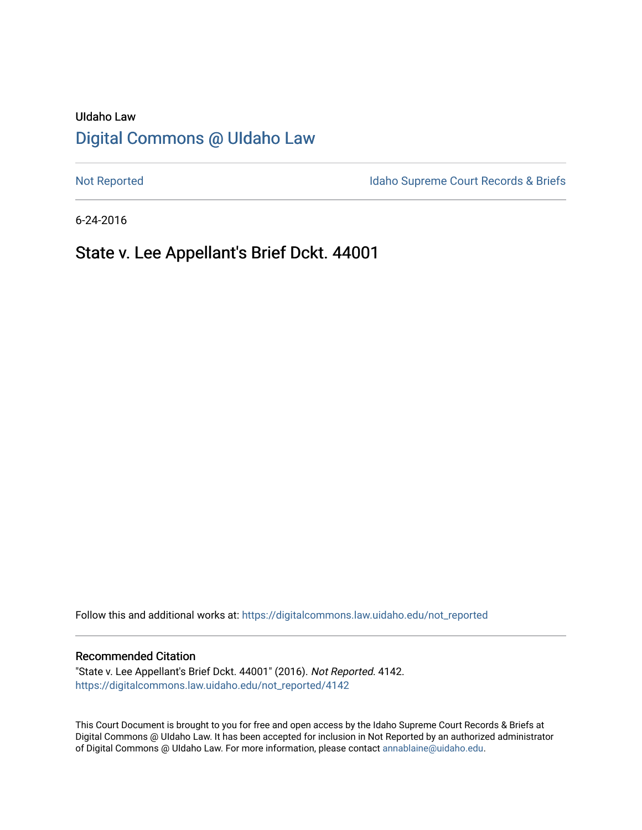# UIdaho Law [Digital Commons @ UIdaho Law](https://digitalcommons.law.uidaho.edu/)

[Not Reported](https://digitalcommons.law.uidaho.edu/not_reported) **Idaho Supreme Court Records & Briefs** 

6-24-2016

# State v. Lee Appellant's Brief Dckt. 44001

Follow this and additional works at: [https://digitalcommons.law.uidaho.edu/not\\_reported](https://digitalcommons.law.uidaho.edu/not_reported?utm_source=digitalcommons.law.uidaho.edu%2Fnot_reported%2F4142&utm_medium=PDF&utm_campaign=PDFCoverPages) 

#### Recommended Citation

"State v. Lee Appellant's Brief Dckt. 44001" (2016). Not Reported. 4142. [https://digitalcommons.law.uidaho.edu/not\\_reported/4142](https://digitalcommons.law.uidaho.edu/not_reported/4142?utm_source=digitalcommons.law.uidaho.edu%2Fnot_reported%2F4142&utm_medium=PDF&utm_campaign=PDFCoverPages)

This Court Document is brought to you for free and open access by the Idaho Supreme Court Records & Briefs at Digital Commons @ UIdaho Law. It has been accepted for inclusion in Not Reported by an authorized administrator of Digital Commons @ UIdaho Law. For more information, please contact [annablaine@uidaho.edu](mailto:annablaine@uidaho.edu).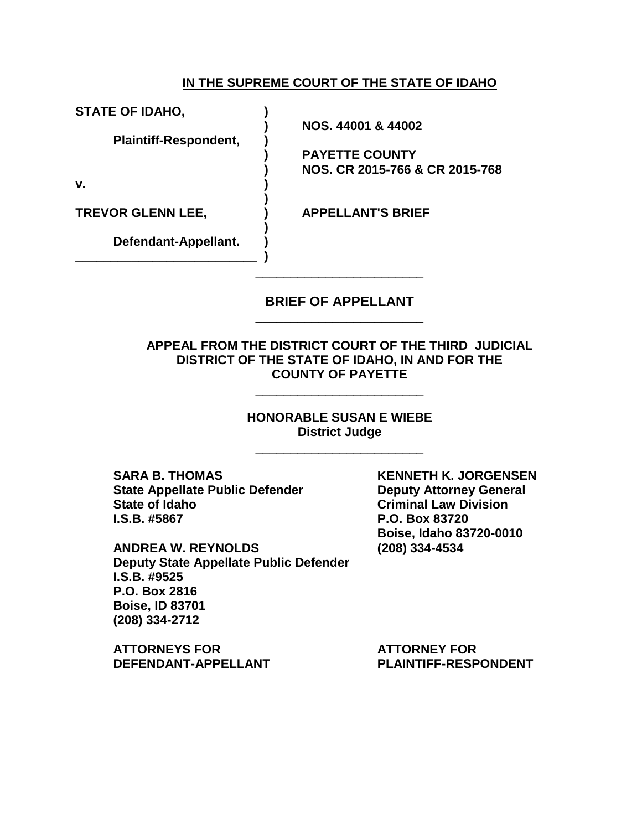### **IN THE SUPREME COURT OF THE STATE OF IDAHO**

**STATE OF IDAHO, )** 

 **Plaintiff-Respondent, )** 

**v. )** 

**TREVOR GLENN LEE, ) APPELLANT'S BRIEF** 

 **) Defendant-Appellant. ) \_\_\_\_\_\_\_\_\_\_\_\_\_\_\_\_\_\_\_\_\_\_\_\_\_\_ )** 

 **)** 

 **) NOS. 44001 & 44002** 

 **) PAYETTE COUNTY ) NOS. CR 2015-766 & CR 2015-768** 

### **BRIEF OF APPELLANT**  \_\_\_\_\_\_\_\_\_\_\_\_\_\_\_\_\_\_\_\_\_\_\_\_

\_\_\_\_\_\_\_\_\_\_\_\_\_\_\_\_\_\_\_\_\_\_\_\_

**APPEAL FROM THE DISTRICT COURT OF THE THIRD JUDICIAL DISTRICT OF THE STATE OF IDAHO, IN AND FOR THE COUNTY OF PAYETTE** 

\_\_\_\_\_\_\_\_\_\_\_\_\_\_\_\_\_\_\_\_\_\_\_\_

**HONORABLE SUSAN E WIEBE District Judge** 

\_\_\_\_\_\_\_\_\_\_\_\_\_\_\_\_\_\_\_\_\_\_\_\_

**SARA B. THOMAS KENNETH K. JORGENSEN State Appellate Public Defender Community Deputy Attorney General and State Appellate Public Defender Community State of Idaho Criminal Law Division I.S.B. #5867 P.O. Box 83720** 

**ANDREA W. REYNOLDS (208) 334-4534 Deputy State Appellate Public Defender I.S.B. #9525 P.O. Box 2816 Boise, ID 83701 (208) 334-2712** 

**ATTORNEYS FOR ATTORNEY FOR**  DEFENDANT-APPELLANT PLAINTIFF-RESPONDENT

 **Boise, Idaho 83720-0010**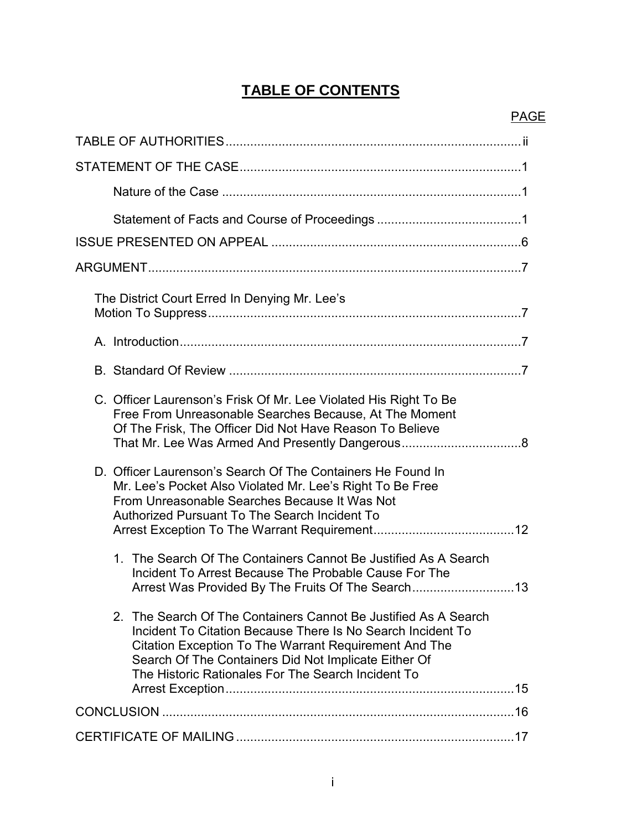# **TABLE OF CONTENTS**

PAGE

| The District Court Erred In Denying Mr. Lee's                                                                                                                                                                                                                                                                |
|--------------------------------------------------------------------------------------------------------------------------------------------------------------------------------------------------------------------------------------------------------------------------------------------------------------|
|                                                                                                                                                                                                                                                                                                              |
|                                                                                                                                                                                                                                                                                                              |
| C. Officer Laurenson's Frisk Of Mr. Lee Violated His Right To Be<br>Free From Unreasonable Searches Because, At The Moment<br>Of The Frisk, The Officer Did Not Have Reason To Believe                                                                                                                       |
| D. Officer Laurenson's Search Of The Containers He Found In<br>Mr. Lee's Pocket Also Violated Mr. Lee's Right To Be Free<br>From Unreasonable Searches Because It Was Not<br>Authorized Pursuant To The Search Incident To                                                                                   |
| 1. The Search Of The Containers Cannot Be Justified As A Search<br>Incident To Arrest Because The Probable Cause For The<br>Arrest Was Provided By The Fruits Of The Search13                                                                                                                                |
| 2. The Search Of The Containers Cannot Be Justified As A Search<br>Incident To Citation Because There Is No Search Incident To<br><b>Citation Exception To The Warrant Requirement And The</b><br>Search Of The Containers Did Not Implicate Either Of<br>The Historic Rationales For The Search Incident To |
|                                                                                                                                                                                                                                                                                                              |
|                                                                                                                                                                                                                                                                                                              |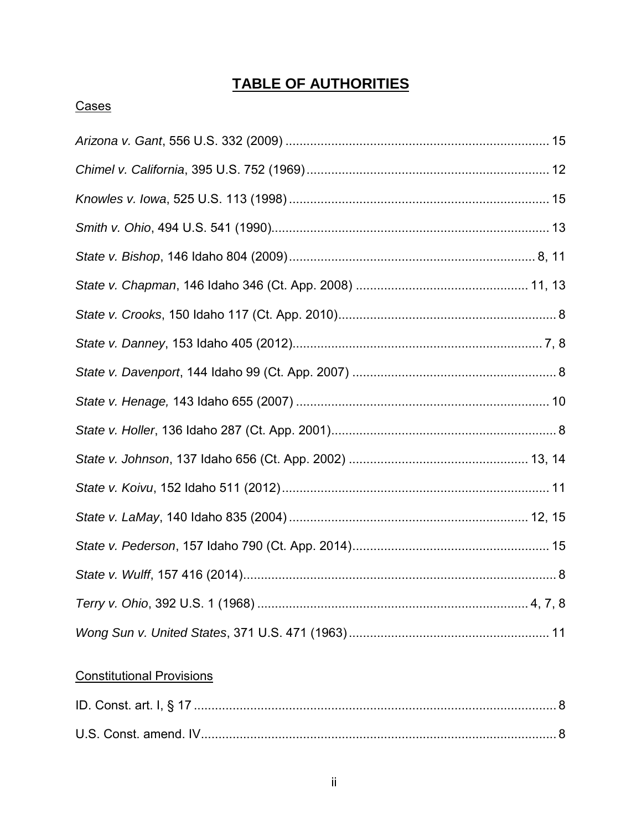# **TABLE OF AUTHORITIES**

## Cases

## **Constitutional Provisions**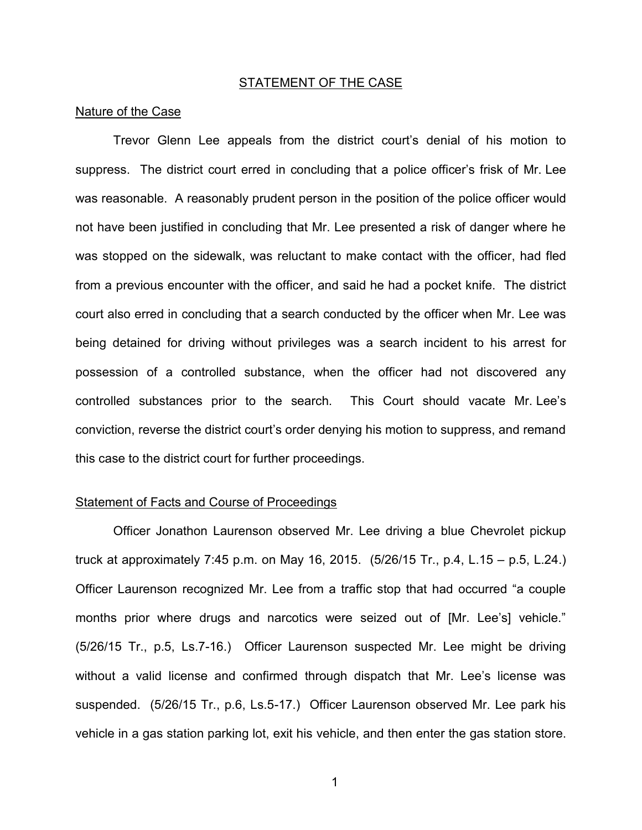#### STATEMENT OF THE CASE

#### Nature of the Case

Trevor Glenn Lee appeals from the district court's denial of his motion to suppress. The district court erred in concluding that a police officer's frisk of Mr. Lee was reasonable. A reasonably prudent person in the position of the police officer would not have been justified in concluding that Mr. Lee presented a risk of danger where he was stopped on the sidewalk, was reluctant to make contact with the officer, had fled from a previous encounter with the officer, and said he had a pocket knife. The district court also erred in concluding that a search conducted by the officer when Mr. Lee was being detained for driving without privileges was a search incident to his arrest for possession of a controlled substance, when the officer had not discovered any controlled substances prior to the search. This Court should vacate Mr. Lee's conviction, reverse the district court's order denying his motion to suppress, and remand this case to the district court for further proceedings.

#### Statement of Facts and Course of Proceedings

Officer Jonathon Laurenson observed Mr. Lee driving a blue Chevrolet pickup truck at approximately 7:45 p.m. on May 16, 2015. (5/26/15 Tr., p.4, L.15 – p.5, L.24.) Officer Laurenson recognized Mr. Lee from a traffic stop that had occurred "a couple months prior where drugs and narcotics were seized out of [Mr. Lee's] vehicle." (5/26/15 Tr., p.5, Ls.7-16.) Officer Laurenson suspected Mr. Lee might be driving without a valid license and confirmed through dispatch that Mr. Lee's license was suspended. (5/26/15 Tr., p.6, Ls.5-17.) Officer Laurenson observed Mr. Lee park his vehicle in a gas station parking lot, exit his vehicle, and then enter the gas station store.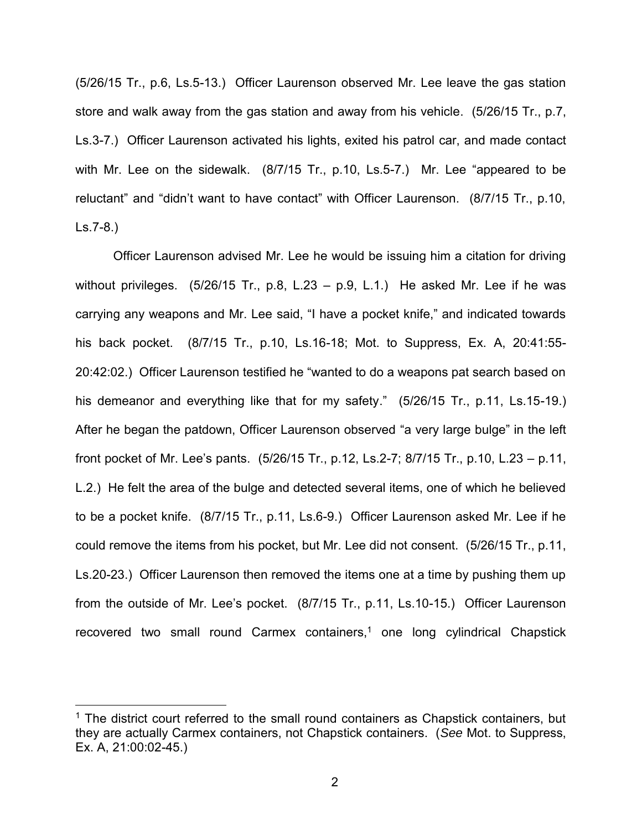(5/26/15 Tr., p.6, Ls.5-13.) Officer Laurenson observed Mr. Lee leave the gas station store and walk away from the gas station and away from his vehicle. (5/26/15 Tr., p.7, Ls.3-7.) Officer Laurenson activated his lights, exited his patrol car, and made contact with Mr. Lee on the sidewalk. (8/7/15 Tr., p.10, Ls.5-7.) Mr. Lee "appeared to be reluctant" and "didn't want to have contact" with Officer Laurenson. (8/7/15 Tr., p.10, Ls.7-8.)

Officer Laurenson advised Mr. Lee he would be issuing him a citation for driving without privileges.  $(5/26/15$  Tr., p.8, L.23 – p.9, L.1.) He asked Mr. Lee if he was carrying any weapons and Mr. Lee said, "I have a pocket knife," and indicated towards his back pocket. (8/7/15 Tr., p.10, Ls.16-18; Mot. to Suppress, Ex. A, 20:41:55- 20:42:02.) Officer Laurenson testified he "wanted to do a weapons pat search based on his demeanor and everything like that for my safety." (5/26/15 Tr., p.11, Ls.15-19.) After he began the patdown, Officer Laurenson observed "a very large bulge" in the left front pocket of Mr. Lee's pants. (5/26/15 Tr., p.12, Ls.2-7; 8/7/15 Tr., p.10, L.23 – p.11, L.2.) He felt the area of the bulge and detected several items, one of which he believed to be a pocket knife. (8/7/15 Tr., p.11, Ls.6-9.) Officer Laurenson asked Mr. Lee if he could remove the items from his pocket, but Mr. Lee did not consent. (5/26/15 Tr., p.11, Ls.20-23.) Officer Laurenson then removed the items one at a time by pushing them up from the outside of Mr. Lee's pocket. (8/7/15 Tr., p.11, Ls.10-15.) Officer Laurenson recovered two small round Carmex containers,<sup>1</sup> one long cylindrical Chapstick

 $\overline{a}$ 

<sup>&</sup>lt;sup>1</sup> The district court referred to the small round containers as Chapstick containers, but they are actually Carmex containers, not Chapstick containers. (*See* Mot. to Suppress, Ex. A, 21:00:02-45.)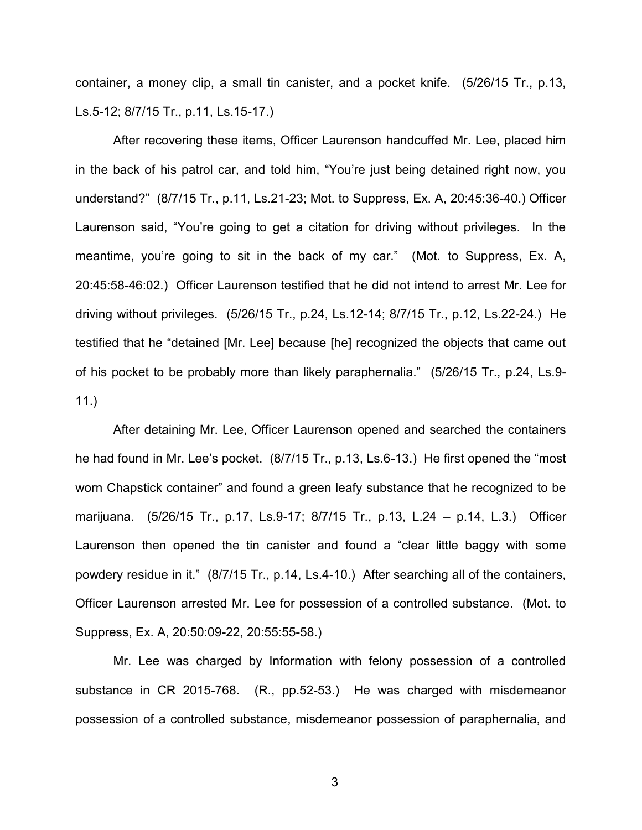container, a money clip, a small tin canister, and a pocket knife. (5/26/15 Tr., p.13, Ls.5-12; 8/7/15 Tr., p.11, Ls.15-17.)

After recovering these items, Officer Laurenson handcuffed Mr. Lee, placed him in the back of his patrol car, and told him, "You're just being detained right now, you understand?" (8/7/15 Tr., p.11, Ls.21-23; Mot. to Suppress, Ex. A, 20:45:36-40.) Officer Laurenson said, "You're going to get a citation for driving without privileges. In the meantime, you're going to sit in the back of my car." (Mot. to Suppress, Ex. A, 20:45:58-46:02.) Officer Laurenson testified that he did not intend to arrest Mr. Lee for driving without privileges. (5/26/15 Tr., p.24, Ls.12-14; 8/7/15 Tr., p.12, Ls.22-24.) He testified that he "detained [Mr. Lee] because [he] recognized the objects that came out of his pocket to be probably more than likely paraphernalia." (5/26/15 Tr., p.24, Ls.9- 11.)

After detaining Mr. Lee, Officer Laurenson opened and searched the containers he had found in Mr. Lee's pocket. (8/7/15 Tr., p.13, Ls.6-13.) He first opened the "most worn Chapstick container" and found a green leafy substance that he recognized to be marijuana. (5/26/15 Tr., p.17, Ls.9-17; 8/7/15 Tr., p.13, L.24 – p.14, L.3.) Officer Laurenson then opened the tin canister and found a "clear little baggy with some powdery residue in it." (8/7/15 Tr., p.14, Ls.4-10.) After searching all of the containers, Officer Laurenson arrested Mr. Lee for possession of a controlled substance. (Mot. to Suppress, Ex. A, 20:50:09-22, 20:55:55-58.)

Mr. Lee was charged by Information with felony possession of a controlled substance in CR 2015-768. (R., pp.52-53.) He was charged with misdemeanor possession of a controlled substance, misdemeanor possession of paraphernalia, and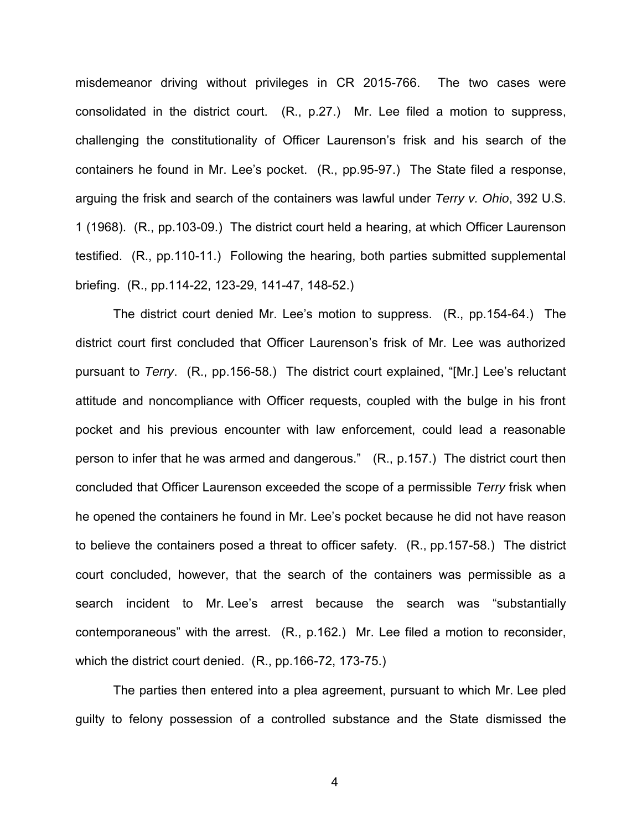misdemeanor driving without privileges in CR 2015-766. The two cases were consolidated in the district court. (R., p.27.) Mr. Lee filed a motion to suppress, challenging the constitutionality of Officer Laurenson's frisk and his search of the containers he found in Mr. Lee's pocket. (R., pp.95-97.) The State filed a response, arguing the frisk and search of the containers was lawful under *Terry v. Ohio*, 392 U.S. 1 (1968). (R., pp.103-09.) The district court held a hearing, at which Officer Laurenson testified. (R., pp.110-11.) Following the hearing, both parties submitted supplemental briefing. (R., pp.114-22, 123-29, 141-47, 148-52.)

The district court denied Mr. Lee's motion to suppress. (R., pp.154-64.) The district court first concluded that Officer Laurenson's frisk of Mr. Lee was authorized pursuant to *Terry*. (R., pp.156-58.) The district court explained, "[Mr.] Lee's reluctant attitude and noncompliance with Officer requests, coupled with the bulge in his front pocket and his previous encounter with law enforcement, could lead a reasonable person to infer that he was armed and dangerous." (R., p.157.) The district court then concluded that Officer Laurenson exceeded the scope of a permissible *Terry* frisk when he opened the containers he found in Mr. Lee's pocket because he did not have reason to believe the containers posed a threat to officer safety. (R., pp.157-58.) The district court concluded, however, that the search of the containers was permissible as a search incident to Mr. Lee's arrest because the search was "substantially contemporaneous" with the arrest. (R., p.162.) Mr. Lee filed a motion to reconsider, which the district court denied. (R., pp.166-72, 173-75.)

The parties then entered into a plea agreement, pursuant to which Mr. Lee pled guilty to felony possession of a controlled substance and the State dismissed the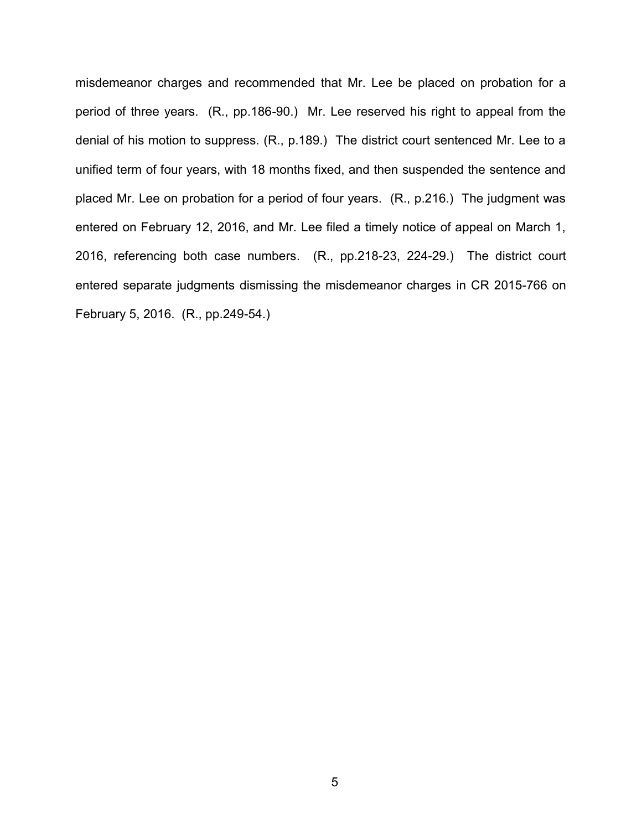misdemeanor charges and recommended that Mr. Lee be placed on probation for a period of three years. (R., pp.186-90.) Mr. Lee reserved his right to appeal from the denial of his motion to suppress. (R., p.189.) The district court sentenced Mr. Lee to a unified term of four years, with 18 months fixed, and then suspended the sentence and placed Mr. Lee on probation for a period of four years. (R., p.216.) The judgment was entered on February 12, 2016, and Mr. Lee filed a timely notice of appeal on March 1, 2016, referencing both case numbers. (R., pp.218-23, 224-29.) The district court entered separate judgments dismissing the misdemeanor charges in CR 2015-766 on February 5, 2016. (R., pp.249-54.)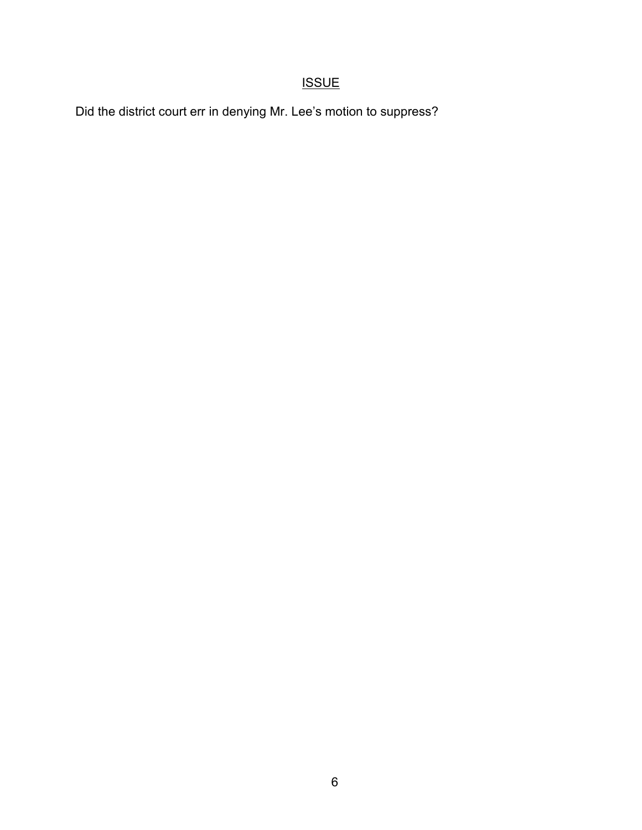## **ISSUE**

Did the district court err in denying Mr. Lee's motion to suppress?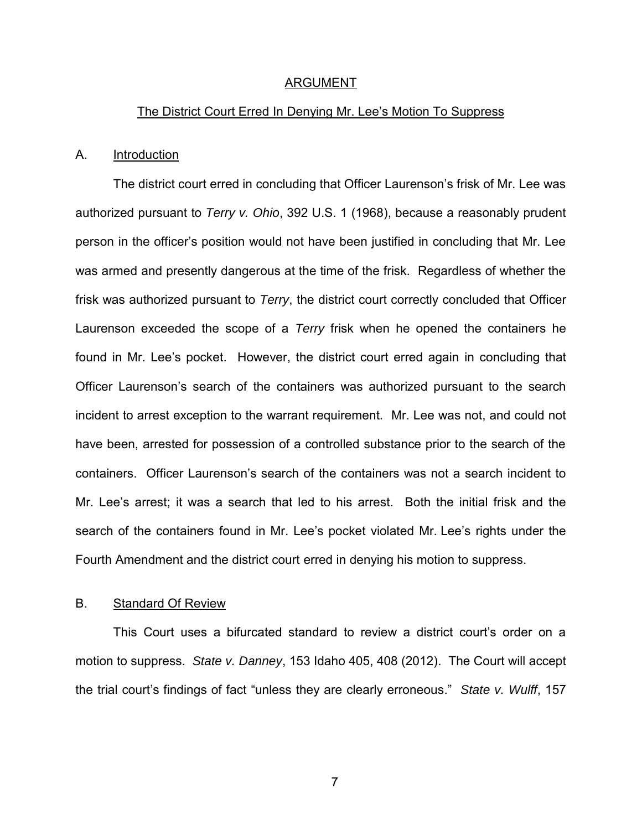#### ARGUMENT

#### The District Court Erred In Denying Mr. Lee's Motion To Suppress

#### A. **Introduction**

The district court erred in concluding that Officer Laurenson's frisk of Mr. Lee was authorized pursuant to *Terry v. Ohio*, 392 U.S. 1 (1968), because a reasonably prudent person in the officer's position would not have been justified in concluding that Mr. Lee was armed and presently dangerous at the time of the frisk. Regardless of whether the frisk was authorized pursuant to *Terry*, the district court correctly concluded that Officer Laurenson exceeded the scope of a *Terry* frisk when he opened the containers he found in Mr. Lee's pocket. However, the district court erred again in concluding that Officer Laurenson's search of the containers was authorized pursuant to the search incident to arrest exception to the warrant requirement. Mr. Lee was not, and could not have been, arrested for possession of a controlled substance prior to the search of the containers. Officer Laurenson's search of the containers was not a search incident to Mr. Lee's arrest; it was a search that led to his arrest. Both the initial frisk and the search of the containers found in Mr. Lee's pocket violated Mr. Lee's rights under the Fourth Amendment and the district court erred in denying his motion to suppress.

#### B. Standard Of Review

This Court uses a bifurcated standard to review a district court's order on a motion to suppress. *State v. Danney*, 153 Idaho 405, 408 (2012). The Court will accept the trial court's findings of fact "unless they are clearly erroneous." *State v. Wulff*, 157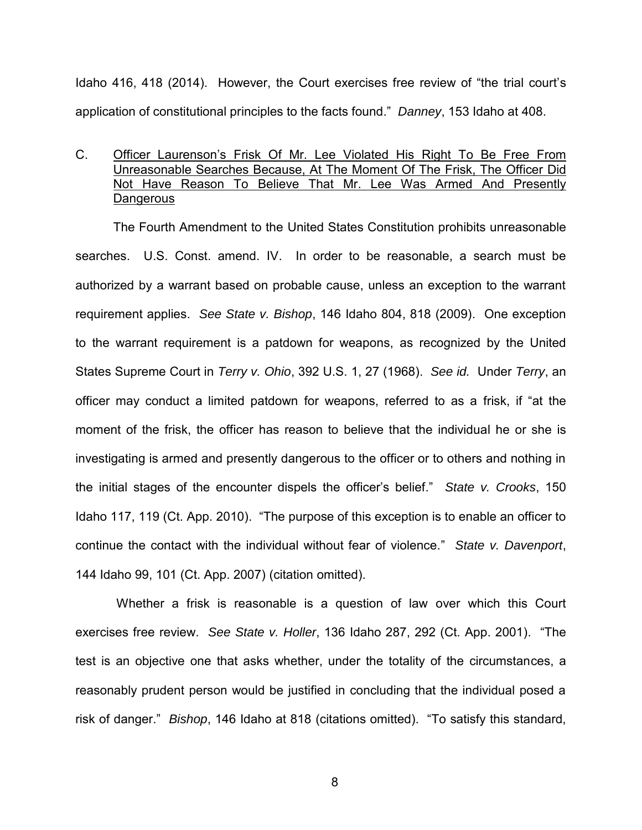Idaho 416, 418 (2014). However, the Court exercises free review of "the trial court's application of constitutional principles to the facts found." *Danney*, 153 Idaho at 408.

### C. Officer Laurenson's Frisk Of Mr. Lee Violated His Right To Be Free From Unreasonable Searches Because, At The Moment Of The Frisk, The Officer Did Not Have Reason To Believe That Mr. Lee Was Armed And Presently **Dangerous**

The Fourth Amendment to the United States Constitution prohibits unreasonable searches. U.S. Const. amend. IV. In order to be reasonable, a search must be authorized by a warrant based on probable cause, unless an exception to the warrant requirement applies. *See State v. Bishop*, 146 Idaho 804, 818 (2009). One exception to the warrant requirement is a patdown for weapons, as recognized by the United States Supreme Court in *Terry v. Ohio*, 392 U.S. 1, 27 (1968). *See id.* Under *Terry*, an officer may conduct a limited patdown for weapons, referred to as a frisk, if "at the moment of the frisk, the officer has reason to believe that the individual he or she is investigating is armed and presently dangerous to the officer or to others and nothing in the initial stages of the encounter dispels the officer's belief." *State v. Crooks*, 150 Idaho 117, 119 (Ct. App. 2010). "The purpose of this exception is to enable an officer to continue the contact with the individual without fear of violence." *State v. Davenport*, 144 Idaho 99, 101 (Ct. App. 2007) (citation omitted).

 Whether a frisk is reasonable is a question of law over which this Court exercises free review. *See State v. Holler*, 136 Idaho 287, 292 (Ct. App. 2001). "The test is an objective one that asks whether, under the totality of the circumstances, a reasonably prudent person would be justified in concluding that the individual posed a risk of danger." *Bishop*, 146 Idaho at 818 (citations omitted). "To satisfy this standard,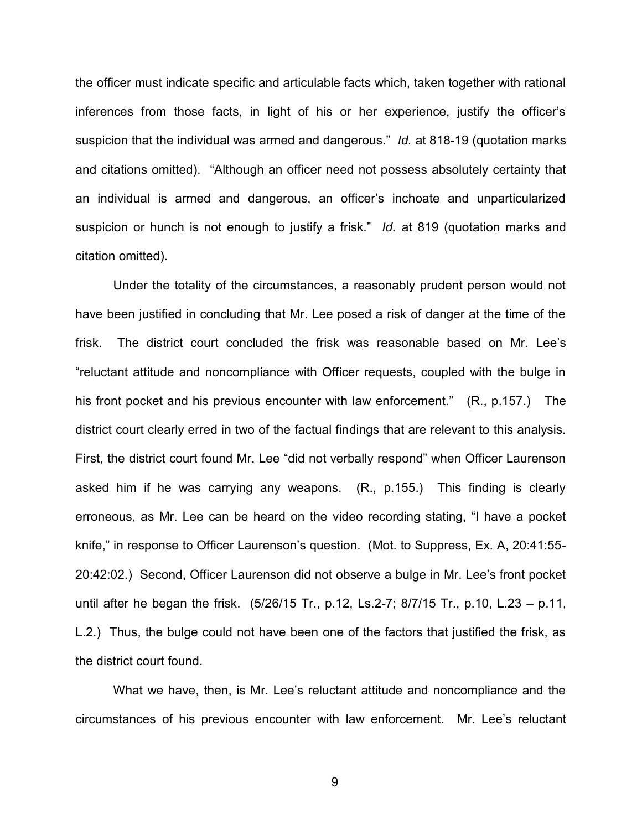the officer must indicate specific and articulable facts which, taken together with rational inferences from those facts, in light of his or her experience, justify the officer's suspicion that the individual was armed and dangerous." *Id.* at 818-19 (quotation marks and citations omitted). "Although an officer need not possess absolutely certainty that an individual is armed and dangerous, an officer's inchoate and unparticularized suspicion or hunch is not enough to justify a frisk." *Id.* at 819 (quotation marks and citation omitted).

Under the totality of the circumstances, a reasonably prudent person would not have been justified in concluding that Mr. Lee posed a risk of danger at the time of the frisk. The district court concluded the frisk was reasonable based on Mr. Lee's "reluctant attitude and noncompliance with Officer requests, coupled with the bulge in his front pocket and his previous encounter with law enforcement." (R., p.157.) The district court clearly erred in two of the factual findings that are relevant to this analysis. First, the district court found Mr. Lee "did not verbally respond" when Officer Laurenson asked him if he was carrying any weapons. (R., p.155.) This finding is clearly erroneous, as Mr. Lee can be heard on the video recording stating, "I have a pocket knife," in response to Officer Laurenson's question. (Mot. to Suppress, Ex. A, 20:41:55- 20:42:02.) Second, Officer Laurenson did not observe a bulge in Mr. Lee's front pocket until after he began the frisk. (5/26/15 Tr., p.12, Ls.2-7; 8/7/15 Tr., p.10, L.23 – p.11, L.2.) Thus, the bulge could not have been one of the factors that justified the frisk, as the district court found.

What we have, then, is Mr. Lee's reluctant attitude and noncompliance and the circumstances of his previous encounter with law enforcement. Mr. Lee's reluctant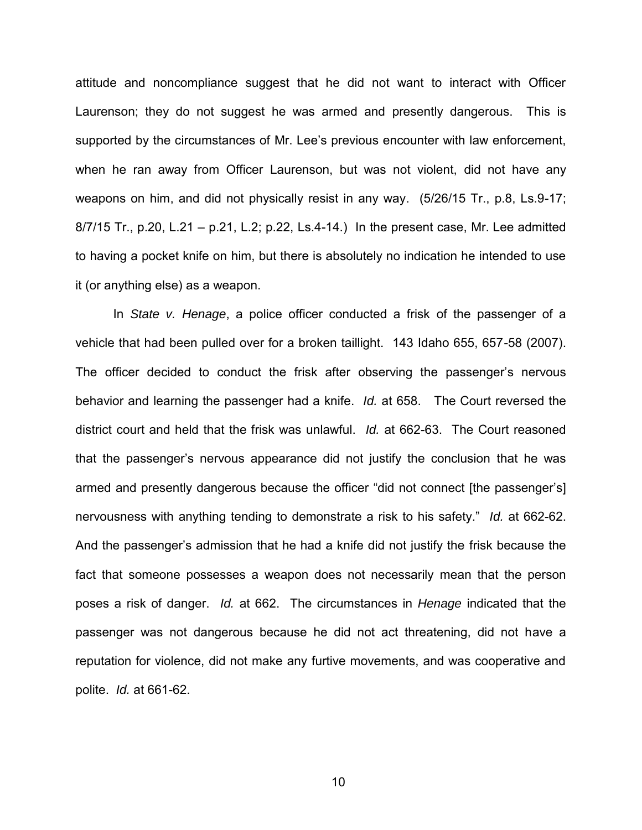attitude and noncompliance suggest that he did not want to interact with Officer Laurenson; they do not suggest he was armed and presently dangerous. This is supported by the circumstances of Mr. Lee's previous encounter with law enforcement, when he ran away from Officer Laurenson, but was not violent, did not have any weapons on him, and did not physically resist in any way. (5/26/15 Tr., p.8, Ls.9-17; 8/7/15 Tr., p.20, L.21 – p.21, L.2; p.22, Ls.4-14.) In the present case, Mr. Lee admitted to having a pocket knife on him, but there is absolutely no indication he intended to use it (or anything else) as a weapon.

In *State v. Henage*, a police officer conducted a frisk of the passenger of a vehicle that had been pulled over for a broken taillight. 143 Idaho 655, 657-58 (2007). The officer decided to conduct the frisk after observing the passenger's nervous behavior and learning the passenger had a knife. *Id.* at 658. The Court reversed the district court and held that the frisk was unlawful. *Id.* at 662-63. The Court reasoned that the passenger's nervous appearance did not justify the conclusion that he was armed and presently dangerous because the officer "did not connect [the passenger's] nervousness with anything tending to demonstrate a risk to his safety." *Id.* at 662-62. And the passenger's admission that he had a knife did not justify the frisk because the fact that someone possesses a weapon does not necessarily mean that the person poses a risk of danger. *Id.* at 662. The circumstances in *Henage* indicated that the passenger was not dangerous because he did not act threatening, did not have a reputation for violence, did not make any furtive movements, and was cooperative and polite. *Id.* at 661-62.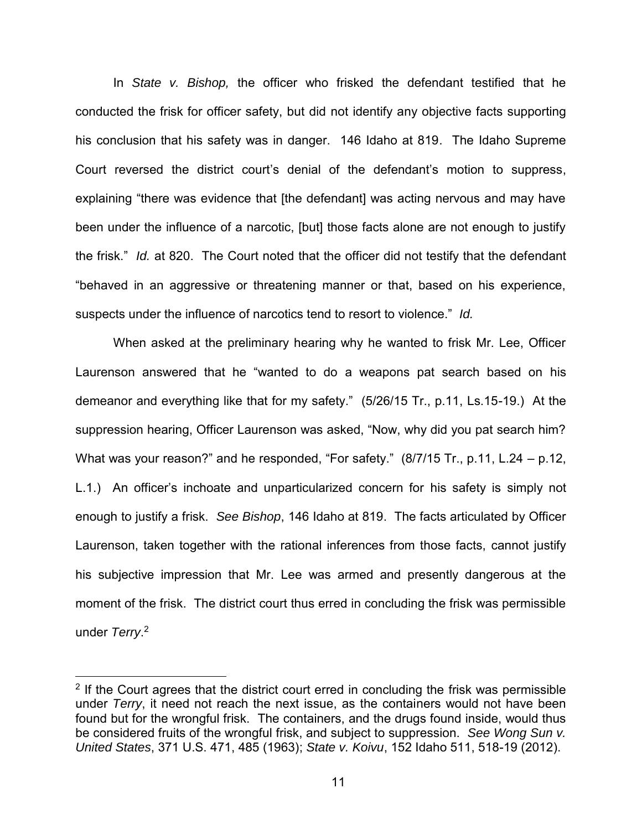In *State v. Bishop,* the officer who frisked the defendant testified that he conducted the frisk for officer safety, but did not identify any objective facts supporting his conclusion that his safety was in danger. 146 Idaho at 819. The Idaho Supreme Court reversed the district court's denial of the defendant's motion to suppress, explaining "there was evidence that [the defendant] was acting nervous and may have been under the influence of a narcotic, [but] those facts alone are not enough to justify the frisk." *Id.* at 820. The Court noted that the officer did not testify that the defendant "behaved in an aggressive or threatening manner or that, based on his experience, suspects under the influence of narcotics tend to resort to violence." *Id.*

When asked at the preliminary hearing why he wanted to frisk Mr. Lee, Officer Laurenson answered that he "wanted to do a weapons pat search based on his demeanor and everything like that for my safety." (5/26/15 Tr., p.11, Ls.15-19.) At the suppression hearing, Officer Laurenson was asked, "Now, why did you pat search him? What was your reason?" and he responded, "For safety." (8/7/15 Tr., p.11, L.24 – p.12, L.1.) An officer's inchoate and unparticularized concern for his safety is simply not enough to justify a frisk. *See Bishop*, 146 Idaho at 819. The facts articulated by Officer Laurenson, taken together with the rational inferences from those facts, cannot justify his subjective impression that Mr. Lee was armed and presently dangerous at the moment of the frisk. The district court thus erred in concluding the frisk was permissible under *Terry*. 2

 $\overline{a}$ 

 $2$  If the Court agrees that the district court erred in concluding the frisk was permissible under *Terry*, it need not reach the next issue, as the containers would not have been found but for the wrongful frisk. The containers, and the drugs found inside, would thus be considered fruits of the wrongful frisk, and subject to suppression. *See Wong Sun v. United States*, 371 U.S. 471, 485 (1963); *State v. Koivu*, 152 Idaho 511, 518-19 (2012).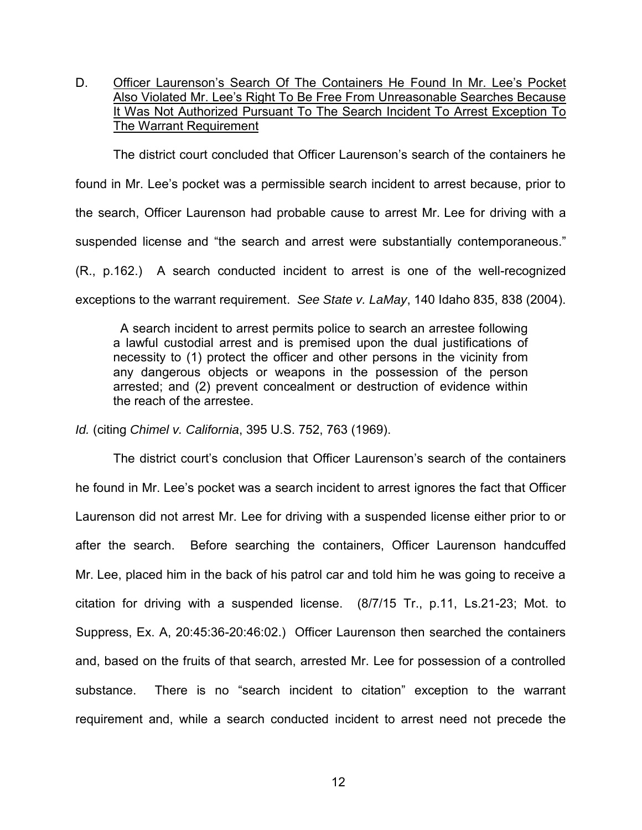D. Officer Laurenson's Search Of The Containers He Found In Mr. Lee's Pocket Also Violated Mr. Lee's Right To Be Free From Unreasonable Searches Because It Was Not Authorized Pursuant To The Search Incident To Arrest Exception To The Warrant Requirement

The district court concluded that Officer Laurenson's search of the containers he

found in Mr. Lee's pocket was a permissible search incident to arrest because, prior to

the search, Officer Laurenson had probable cause to arrest Mr. Lee for driving with a

suspended license and "the search and arrest were substantially contemporaneous."

(R., p.162.) A search conducted incident to arrest is one of the well-recognized

exceptions to the warrant requirement. *See State v. LaMay*, 140 Idaho 835, 838 (2004).

 A search incident to arrest permits police to search an arrestee following a lawful custodial arrest and is premised upon the dual justifications of necessity to (1) protect the officer and other persons in the vicinity from any dangerous objects or weapons in the possession of the person arrested; and (2) prevent concealment or destruction of evidence within the reach of the arrestee.

*Id.* (citing *Chimel v. California*, 395 U.S. 752, 763 (1969).

The district court's conclusion that Officer Laurenson's search of the containers he found in Mr. Lee's pocket was a search incident to arrest ignores the fact that Officer Laurenson did not arrest Mr. Lee for driving with a suspended license either prior to or after the search. Before searching the containers, Officer Laurenson handcuffed Mr. Lee, placed him in the back of his patrol car and told him he was going to receive a citation for driving with a suspended license. (8/7/15 Tr., p.11, Ls.21-23; Mot. to Suppress, Ex. A, 20:45:36-20:46:02.) Officer Laurenson then searched the containers and, based on the fruits of that search, arrested Mr. Lee for possession of a controlled substance. There is no "search incident to citation" exception to the warrant requirement and, while a search conducted incident to arrest need not precede the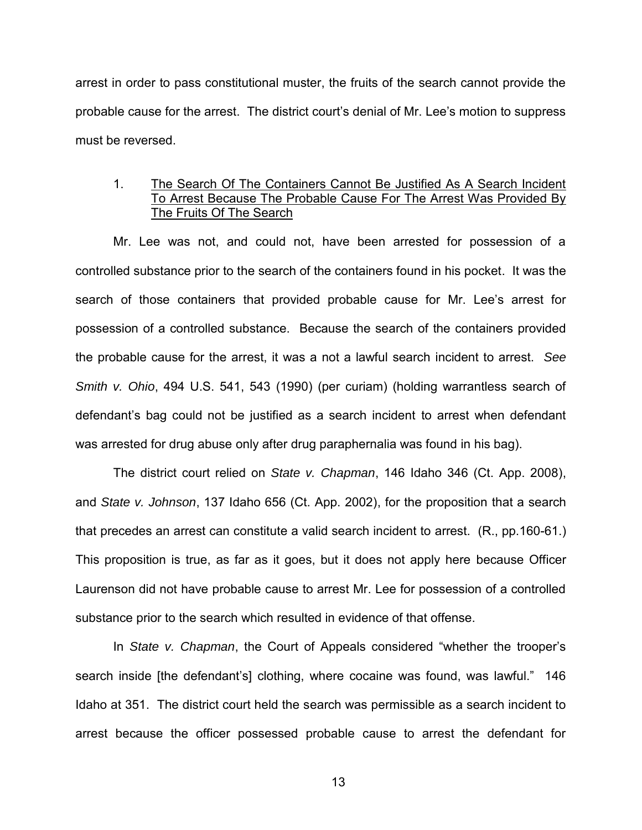arrest in order to pass constitutional muster, the fruits of the search cannot provide the probable cause for the arrest. The district court's denial of Mr. Lee's motion to suppress must be reversed.

### 1. The Search Of The Containers Cannot Be Justified As A Search Incident To Arrest Because The Probable Cause For The Arrest Was Provided By The Fruits Of The Search

Mr. Lee was not, and could not, have been arrested for possession of a controlled substance prior to the search of the containers found in his pocket. It was the search of those containers that provided probable cause for Mr. Lee's arrest for possession of a controlled substance. Because the search of the containers provided the probable cause for the arrest, it was a not a lawful search incident to arrest. *See Smith v. Ohio*, 494 U.S. 541, 543 (1990) (per curiam) (holding warrantless search of defendant's bag could not be justified as a search incident to arrest when defendant was arrested for drug abuse only after drug paraphernalia was found in his bag).

The district court relied on *State v. Chapman*, 146 Idaho 346 (Ct. App. 2008), and *State v. Johnson*, 137 Idaho 656 (Ct. App. 2002), for the proposition that a search that precedes an arrest can constitute a valid search incident to arrest. (R., pp.160-61.) This proposition is true, as far as it goes, but it does not apply here because Officer Laurenson did not have probable cause to arrest Mr. Lee for possession of a controlled substance prior to the search which resulted in evidence of that offense.

In *State v. Chapman*, the Court of Appeals considered "whether the trooper's search inside [the defendant's] clothing, where cocaine was found, was lawful." 146 Idaho at 351. The district court held the search was permissible as a search incident to arrest because the officer possessed probable cause to arrest the defendant for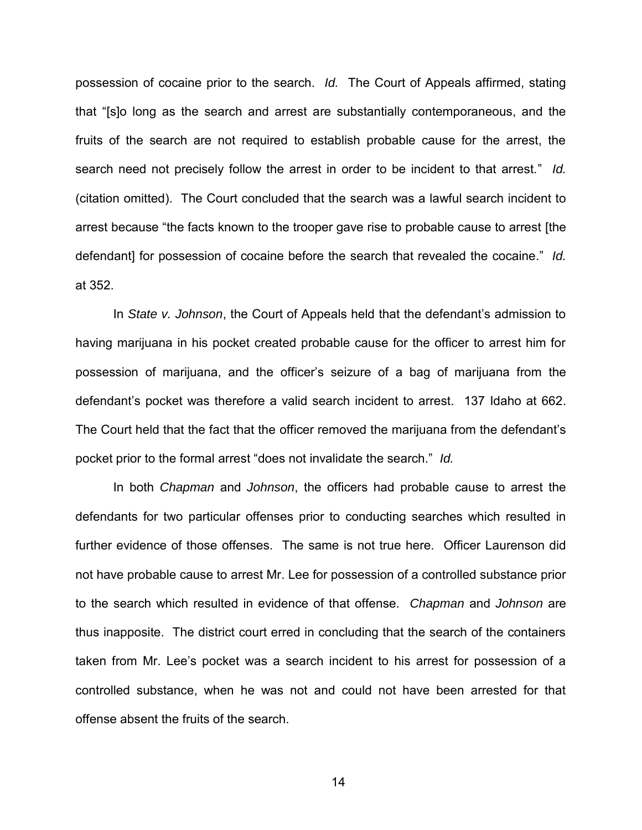possession of cocaine prior to the search. *Id.* The Court of Appeals affirmed, stating that "[s]o long as the search and arrest are substantially contemporaneous, and the fruits of the search are not required to establish probable cause for the arrest, the search need not precisely follow the arrest in order to be incident to that arrest." *Id.* (citation omitted). The Court concluded that the search was a lawful search incident to arrest because "the facts known to the trooper gave rise to probable cause to arrest [the defendant] for possession of cocaine before the search that revealed the cocaine." *Id.* at 352.

In *State v. Johnson*, the Court of Appeals held that the defendant's admission to having marijuana in his pocket created probable cause for the officer to arrest him for possession of marijuana, and the officer's seizure of a bag of marijuana from the defendant's pocket was therefore a valid search incident to arrest. 137 Idaho at 662. The Court held that the fact that the officer removed the marijuana from the defendant's pocket prior to the formal arrest "does not invalidate the search." *Id.* 

In both *Chapman* and *Johnson*, the officers had probable cause to arrest the defendants for two particular offenses prior to conducting searches which resulted in further evidence of those offenses. The same is not true here. Officer Laurenson did not have probable cause to arrest Mr. Lee for possession of a controlled substance prior to the search which resulted in evidence of that offense. *Chapman* and *Johnson* are thus inapposite. The district court erred in concluding that the search of the containers taken from Mr. Lee's pocket was a search incident to his arrest for possession of a controlled substance, when he was not and could not have been arrested for that offense absent the fruits of the search.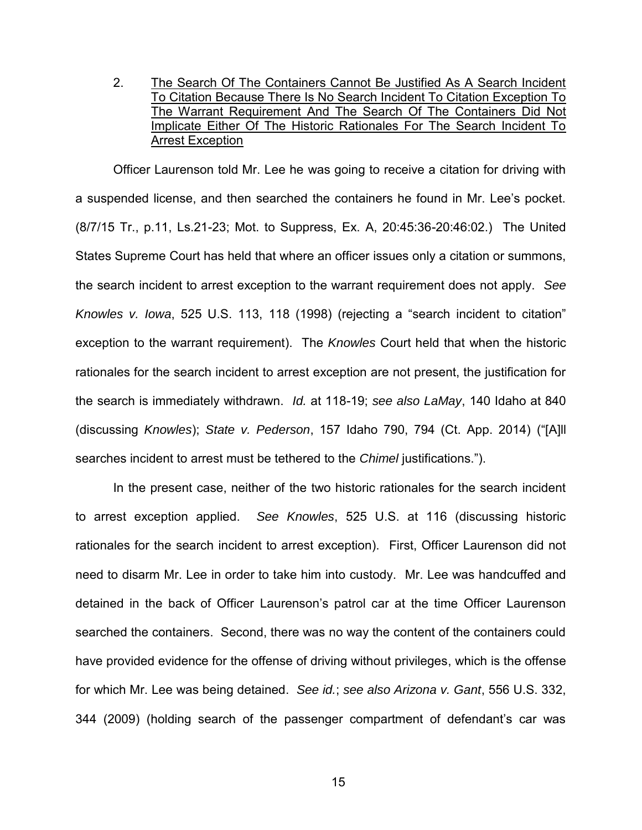2. The Search Of The Containers Cannot Be Justified As A Search Incident To Citation Because There Is No Search Incident To Citation Exception To The Warrant Requirement And The Search Of The Containers Did Not Implicate Either Of The Historic Rationales For The Search Incident To Arrest Exception

Officer Laurenson told Mr. Lee he was going to receive a citation for driving with a suspended license, and then searched the containers he found in Mr. Lee's pocket. (8/7/15 Tr., p.11, Ls.21-23; Mot. to Suppress, Ex. A, 20:45:36-20:46:02.) The United States Supreme Court has held that where an officer issues only a citation or summons, the search incident to arrest exception to the warrant requirement does not apply. *See Knowles v. Iowa*, 525 U.S. 113, 118 (1998) (rejecting a "search incident to citation" exception to the warrant requirement). The *Knowles* Court held that when the historic rationales for the search incident to arrest exception are not present, the justification for the search is immediately withdrawn. *Id.* at 118-19; *see also LaMay*, 140 Idaho at 840 (discussing *Knowles*); *State v. Pederson*, 157 Idaho 790, 794 (Ct. App. 2014) ("[A]ll searches incident to arrest must be tethered to the *Chimel* justifications.").

In the present case, neither of the two historic rationales for the search incident to arrest exception applied. *See Knowles*, 525 U.S. at 116 (discussing historic rationales for the search incident to arrest exception). First, Officer Laurenson did not need to disarm Mr. Lee in order to take him into custody. Mr. Lee was handcuffed and detained in the back of Officer Laurenson's patrol car at the time Officer Laurenson searched the containers. Second, there was no way the content of the containers could have provided evidence for the offense of driving without privileges, which is the offense for which Mr. Lee was being detained. *See id.*; *see also Arizona v. Gant*, 556 U.S. 332, 344 (2009) (holding search of the passenger compartment of defendant's car was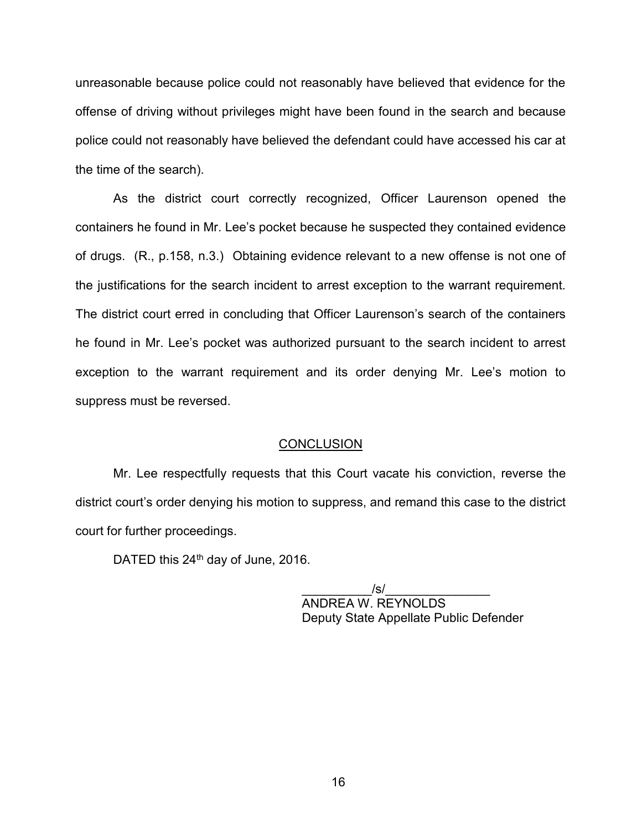unreasonable because police could not reasonably have believed that evidence for the offense of driving without privileges might have been found in the search and because police could not reasonably have believed the defendant could have accessed his car at the time of the search).

As the district court correctly recognized, Officer Laurenson opened the containers he found in Mr. Lee's pocket because he suspected they contained evidence of drugs. (R., p.158, n.3.) Obtaining evidence relevant to a new offense is not one of the justifications for the search incident to arrest exception to the warrant requirement. The district court erred in concluding that Officer Laurenson's search of the containers he found in Mr. Lee's pocket was authorized pursuant to the search incident to arrest exception to the warrant requirement and its order denying Mr. Lee's motion to suppress must be reversed.

#### **CONCLUSION**

Mr. Lee respectfully requests that this Court vacate his conviction, reverse the district court's order denying his motion to suppress, and remand this case to the district court for further proceedings.

DATED this 24<sup>th</sup> day of June, 2016.

 \_\_\_\_\_\_\_\_\_\_/s/\_\_\_\_\_\_\_\_\_\_\_\_\_\_\_ ANDREA W. REYNOLDS Deputy State Appellate Public Defender